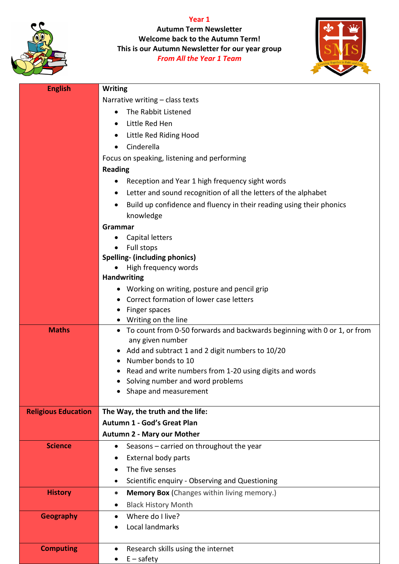

**Year 1 Autumn Term Newsletter Welcome back to the Autumn Term! This is our Autumn Newsletter for our year group** *From All the Year 1 Team*



| <b>English</b>             | <b>Writing</b>                                                                                               |
|----------------------------|--------------------------------------------------------------------------------------------------------------|
|                            |                                                                                                              |
|                            | Narrative writing - class texts                                                                              |
|                            | The Rabbit Listened<br>$\bullet$                                                                             |
|                            | Little Red Hen                                                                                               |
|                            | Little Red Riding Hood<br>$\bullet$                                                                          |
|                            | Cinderella                                                                                                   |
|                            | Focus on speaking, listening and performing                                                                  |
|                            | <b>Reading</b>                                                                                               |
|                            | Reception and Year 1 high frequency sight words<br>$\bullet$                                                 |
|                            | Letter and sound recognition of all the letters of the alphabet                                              |
|                            | Build up confidence and fluency in their reading using their phonics                                         |
|                            | knowledge                                                                                                    |
|                            | Grammar                                                                                                      |
|                            | Capital letters<br>$\bullet$                                                                                 |
|                            | Full stops                                                                                                   |
|                            | <b>Spelling- (including phonics)</b>                                                                         |
|                            | High frequency words                                                                                         |
|                            | <b>Handwriting</b>                                                                                           |
|                            | Working on writing, posture and pencil grip                                                                  |
|                            | Correct formation of lower case letters                                                                      |
|                            | Finger spaces                                                                                                |
| <b>Maths</b>               | Writing on the line<br>To count from 0-50 forwards and backwards beginning with 0 or 1, or from<br>$\bullet$ |
|                            | any given number                                                                                             |
|                            | Add and subtract 1 and 2 digit numbers to 10/20                                                              |
|                            | Number bonds to 10                                                                                           |
|                            | Read and write numbers from 1-20 using digits and words                                                      |
|                            | Solving number and word problems                                                                             |
|                            | Shape and measurement                                                                                        |
|                            |                                                                                                              |
| <b>Religious Education</b> | The Way, the truth and the life:                                                                             |
|                            | Autumn 1 - God's Great Plan                                                                                  |
|                            | <b>Autumn 2 - Mary our Mother</b>                                                                            |
| <b>Science</b>             | Seasons - carried on throughout the year<br>$\bullet$                                                        |
|                            | External body parts                                                                                          |
|                            | The five senses                                                                                              |
|                            | Scientific enquiry - Observing and Questioning                                                               |
| <b>History</b>             | <b>Memory Box (Changes within living memory.)</b><br>$\bullet$                                               |
|                            | <b>Black History Month</b><br>$\bullet$                                                                      |
| <b>Geography</b>           | Where do I live?                                                                                             |
|                            | Local landmarks                                                                                              |
|                            |                                                                                                              |
| <b>Computing</b>           | Research skills using the internet                                                                           |
|                            | $E -$ safety                                                                                                 |